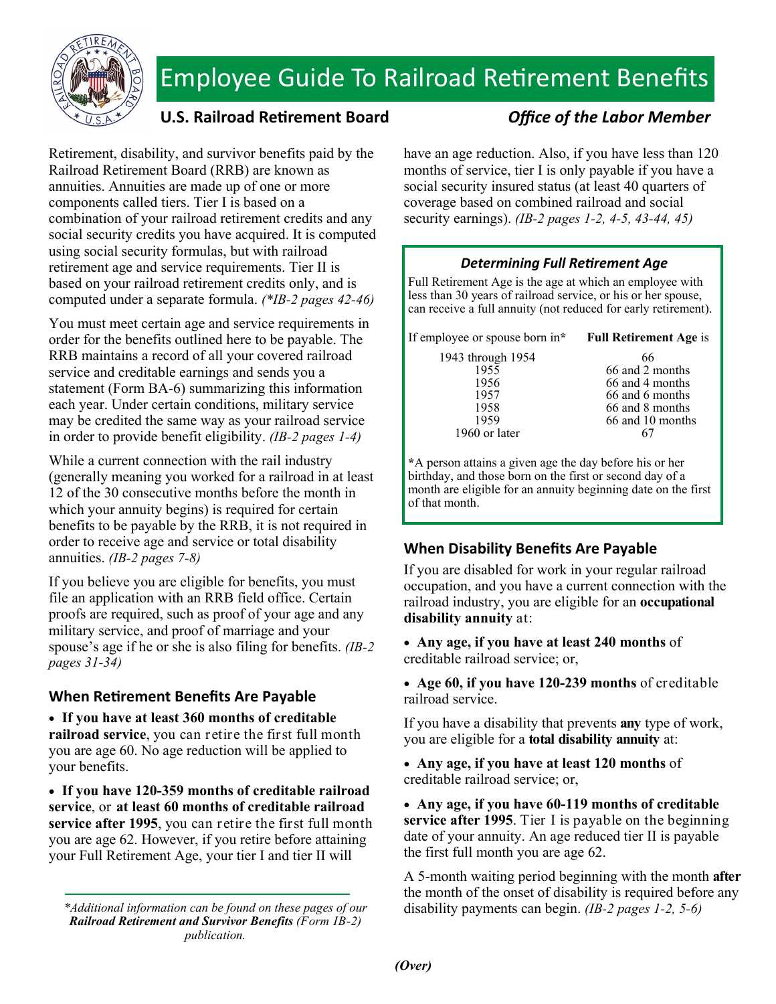

# Employee Guide To Railroad Retirement Benefits

## U.S. Railroad Retirement Board *Office of the Labor Member*

Retirement, disability, and survivor benefits paid by the Railroad Retirement Board (RRB) are known as annuities. Annuities are made up of one or more components called tiers. Tier I is based on a combination of your railroad retirement credits and any social security credits you have acquired. It is computed using social security formulas, but with railroad retirement age and service requirements. Tier II is based on your railroad retirement credits only, and is computed under a separate formula. *(\*IB-2 pages 42-46)*

You must meet certain age and service requirements in order for the benefits outlined here to be payable. The RRB maintains a record of all your covered railroad service and creditable earnings and sends you a statement (Form BA-6) summarizing this information each year. Under certain conditions, military service may be credited the same way as your railroad service in order to provide benefit eligibility. *(IB-2 pages 1-4)*

While a current connection with the rail industry (generally meaning you worked for a railroad in at least 12 of the 30 consecutive months before the month in which your annuity begins) is required for certain benefits to be payable by the RRB, it is not required in order to receive age and service or total disability annuities. *(IB-2 pages 7-8)*

If you believe you are eligible for benefits, you must file an application with an RRB field office. Certain proofs are required, such as proof of your age and any military service, and proof of marriage and your spouse's age if he or she is also filing for benefits. *(IB-2 pages 31-34)*

## **When ReƟrement Benefits Are Payable**

 **If you have at least 360 months of creditable railroad service**, you can retire the first full month you are age 60. No age reduction will be applied to your benefits.

 **If you have 120-359 months of creditable railroad service**, or **at least 60 months of creditable railroad service after 1995**, you can retire the first full month you are age 62. However, if you retire before attaining your Full Retirement Age, your tier I and tier II will

*\*Additional information can be found on these pages of our Railroad Retirement and Survivor Benefits (Form IB-2) publication.* 

have an age reduction. Also, if you have less than 120 months of service, tier I is only payable if you have a social security insured status (at least 40 quarters of coverage based on combined railroad and social security earnings). *(IB-2 pages 1-2, 4-5, 43-44, 45)*

### *Determining Full ReƟrement Age*

Full Retirement Age is the age at which an employee with less than 30 years of railroad service, or his or her spouse, can receive a full annuity (not reduced for early retirement).

| If employee or spouse born in* Full Retirement Age is              |                                    |
|--------------------------------------------------------------------|------------------------------------|
| 1943 through 1954<br>1955                                          | 66<br>66 and 2 months              |
| 1956                                                               | 66 and 4 months                    |
| 1957<br>1958                                                       | 66 and 6 months<br>66 and 8 months |
| 1959<br>1960 or later                                              | 66 and 10 months                   |
| $*$ $\Lambda$ person attains a given age the day before his or her |                                    |

**\***A person attains a given age the day before his or her birthday, and those born on the first or second day of a month are eligible for an annuity beginning date on the first of that month.

## **When Disability Benefits Are Payable**

If you are disabled for work in your regular railroad occupation, and you have a current connection with the railroad industry, you are eligible for an **occupational disability annuity** at:

 **Any age, if you have at least 240 months** of creditable railroad service; or,

 **Age 60, if you have 120-239 months** of creditable railroad service.

If you have a disability that prevents **any** type of work, you are eligible for a **total disability annuity** at:

 **Any age, if you have at least 120 months** of creditable railroad service; or,

 **Any age, if you have 60-119 months of creditable service after 1995**. Tier I is payable on the beginning date of your annuity. An age reduced tier II is payable the first full month you are age 62.

A 5-month waiting period beginning with the month **after** the month of the onset of disability is required before any disability payments can begin. *(IB-2 pages 1-2, 5-6)*